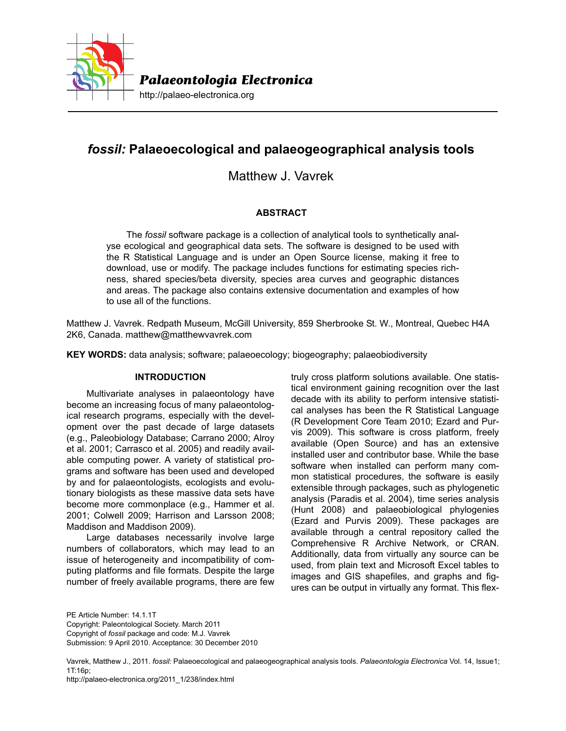

# *fossil:* **Palaeoecological and palaeogeographical analysis tools**

Matthew J. Vavrek

# **ABSTRACT**

The *fossil* software package is a collection of analytical tools to synthetically analyse ecological and geographical data sets. The software is designed to be used with the R Statistical Language and is under an Open Source license, making it free to download, use or modify. The package includes functions for estimating species richness, shared species/beta diversity, species area curves and geographic distances and areas. The package also contains extensive documentation and examples of how to use all of the functions.

Matthew J. Vavrek. Redpath Museum, McGill University, 859 Sherbrooke St. W., Montreal, Quebec H4A 2K6, Canada. matthew@matthewvavrek.com

**KEY WORDS:** data analysis; software; palaeoecology; biogeography; palaeobiodiversity

# **INTRODUCTION**

Multivariate analyses in palaeontology have become an increasing focus of many palaeontological research programs, especially with the development over the past decade of large datasets (e.g., Paleobiology Database; Carrano 2000; Alroy et al. 2001; Carrasco et al. 2005) and readily available computing power. A variety of statistical programs and software has been used and developed by and for palaeontologists, ecologists and evolutionary biologists as these massive data sets have become more commonplace (e.g., Hammer et al. 2001; Colwell 2009; Harrison and Larsson 2008; Maddison and Maddison 2009).

Large databases necessarily involve large numbers of collaborators, which may lead to an issue of heterogeneity and incompatibility of computing platforms and file formats. Despite the large number of freely available programs, there are few

truly cross platform solutions available. One statistical environment gaining recognition over the last decade with its ability to perform intensive statistical analyses has been the R Statistical Language (R Development Core Team 2010; Ezard and Purvis 2009). This software is cross platform, freely available (Open Source) and has an extensive installed user and contributor base. While the base software when installed can perform many common statistical procedures, the software is easily extensible through packages, such as phylogenetic analysis (Paradis et al. 2004), time series analysis (Hunt 2008) and palaeobiological phylogenies (Ezard and Purvis 2009). These packages are available through a central repository called the Comprehensive R Archive Network, or CRAN. Additionally, data from virtually any source can be used, from plain text and Microsoft Excel tables to images and GIS shapefiles, and graphs and figures can be output in virtually any format. This flex-

PE Article Number: 14.1.1T Copyright: Paleontological Society. March 2011 Copyright of *fossil* package and code: M.J. Vavrek Submission: 9 April 2010. Acceptance: 30 December 2010

http://palaeo-electronica.org/2011\_1/238/index.html

Vavrek, Matthew J., 2011. *fossil:* Palaeoecological and palaeogeographical analysis tools. *Palaeontologia Electronica* Vol. 14, Issue1; 1T:16p;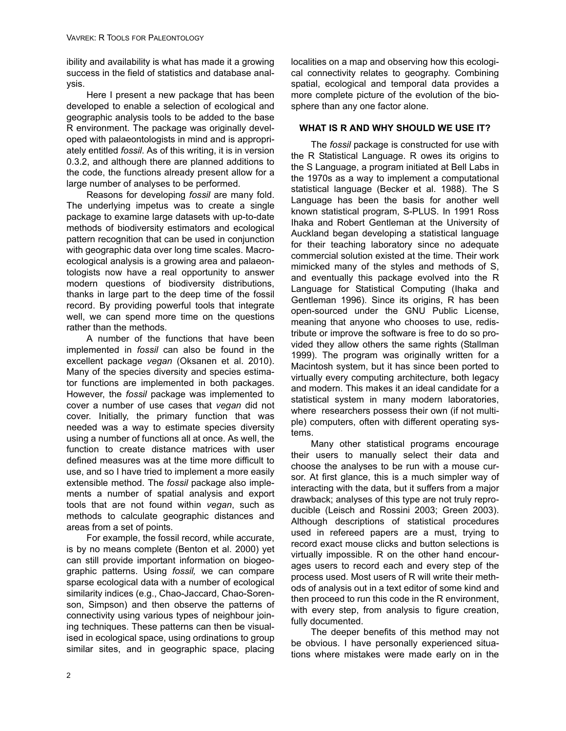ibility and availability is what has made it a growing success in the field of statistics and database analysis.

Here I present a new package that has been developed to enable a selection of ecological and geographic analysis tools to be added to the base R environment. The package was originally developed with palaeontologists in mind and is appropriately entitled *fossil*. As of this writing, it is in version 0.3.2, and although there are planned additions to the code, the functions already present allow for a large number of analyses to be performed.

Reasons for developing *fossil* are many fold. The underlying impetus was to create a single package to examine large datasets with up-to-date methods of biodiversity estimators and ecological pattern recognition that can be used in conjunction with geographic data over long time scales. Macroecological analysis is a growing area and palaeontologists now have a real opportunity to answer modern questions of biodiversity distributions, thanks in large part to the deep time of the fossil record. By providing powerful tools that integrate well, we can spend more time on the questions rather than the methods.

A number of the functions that have been implemented in *fossil* can also be found in the excellent package *vegan* (Oksanen et al. 2010). Many of the species diversity and species estimator functions are implemented in both packages. However, the *fossil* package was implemented to cover a number of use cases that *vegan* did not cover. Initially, the primary function that was needed was a way to estimate species diversity using a number of functions all at once. As well, the function to create distance matrices with user defined measures was at the time more difficult to use, and so I have tried to implement a more easily extensible method. The *fossil* package also implements a number of spatial analysis and export tools that are not found within *vegan*, such as methods to calculate geographic distances and areas from a set of points.

For example, the fossil record, while accurate, is by no means complete (Benton et al. 2000) yet can still provide important information on biogeographic patterns. Using *fossil,* we can compare sparse ecological data with a number of ecological similarity indices (e.g., Chao-Jaccard, Chao-Sorenson, Simpson) and then observe the patterns of connectivity using various types of neighbour joining techniques. These patterns can then be visualised in ecological space, using ordinations to group similar sites, and in geographic space, placing

localities on a map and observing how this ecological connectivity relates to geography. Combining spatial, ecological and temporal data provides a more complete picture of the evolution of the biosphere than any one factor alone.

# **WHAT IS R AND WHY SHOULD WE USE IT?**

The *fossil* package is constructed for use with the R Statistical Language. R owes its origins to the S Language, a program initiated at Bell Labs in the 1970s as a way to implement a computational statistical language (Becker et al. 1988). The S Language has been the basis for another well known statistical program, S-PLUS. In 1991 Ross Ihaka and Robert Gentleman at the University of Auckland began developing a statistical language for their teaching laboratory since no adequate commercial solution existed at the time. Their work mimicked many of the styles and methods of S, and eventually this package evolved into the R Language for Statistical Computing (Ihaka and Gentleman 1996). Since its origins, R has been open-sourced under the GNU Public License, meaning that anyone who chooses to use, redistribute or improve the software is free to do so provided they allow others the same rights (Stallman 1999). The program was originally written for a Macintosh system, but it has since been ported to virtually every computing architecture, both legacy and modern. This makes it an ideal candidate for a statistical system in many modern laboratories, where researchers possess their own (if not multiple) computers, often with different operating systems.

Many other statistical programs encourage their users to manually select their data and choose the analyses to be run with a mouse cursor. At first glance, this is a much simpler way of interacting with the data, but it suffers from a major drawback; analyses of this type are not truly reproducible (Leisch and Rossini 2003; Green 2003). Although descriptions of statistical procedures used in refereed papers are a must, trying to record exact mouse clicks and button selections is virtually impossible. R on the other hand encourages users to record each and every step of the process used. Most users of R will write their methods of analysis out in a text editor of some kind and then proceed to run this code in the R environment, with every step, from analysis to figure creation, fully documented.

The deeper benefits of this method may not be obvious. I have personally experienced situations where mistakes were made early on in the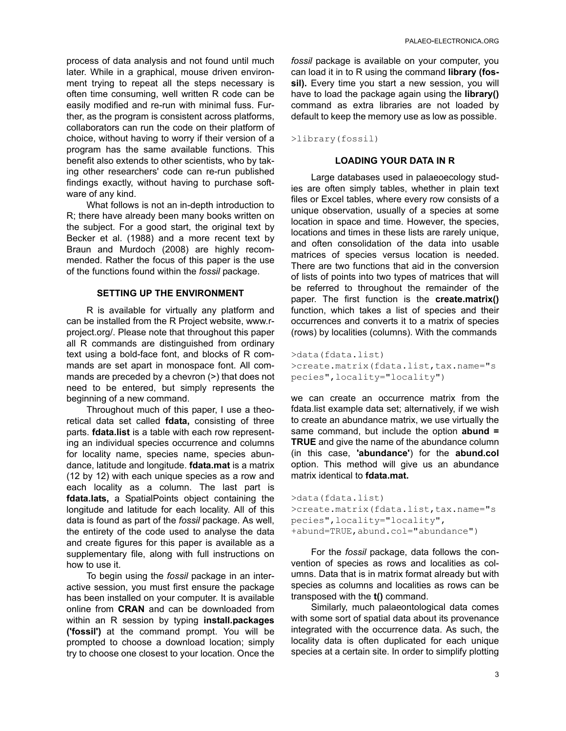process of data analysis and not found until much later. While in a graphical, mouse driven environment trying to repeat all the steps necessary is often time consuming, well written R code can be easily modified and re-run with minimal fuss. Further, as the program is consistent across platforms, collaborators can run the code on their platform of choice, without having to worry if their version of a program has the same available functions. This benefit also extends to other scientists, who by taking other researchers' code can re-run published findings exactly, without having to purchase software of any kind.

What follows is not an in-depth introduction to R; there have already been many books written on the subject. For a good start, the original text by Becker et al. (1988) and a more recent text by Braun and Murdoch (2008) are highly recommended. Rather the focus of this paper is the use of the functions found within the *fossil* package.

## **SETTING UP THE ENVIRONMENT**

R is available for virtually any platform and can be installed from the R Project website, www.rproject.org/. Please note that throughout this paper all R commands are distinguished from ordinary text using a bold-face font, and blocks of R commands are set apart in monospace font. All commands are preceded by a chevron (>) that does not need to be entered, but simply represents the beginning of a new command.

Throughout much of this paper, I use a theoretical data set called **fdata,** consisting of three parts. **fdata.list** is a table with each row representing an individual species occurrence and columns for locality name, species name, species abundance, latitude and longitude. **fdata.mat** is a matrix (12 by 12) with each unique species as a row and each locality as a column. The last part is **fdata.lats,** a SpatialPoints object containing the longitude and latitude for each locality. All of this data is found as part of the *fossil* package. As well, the entirety of the code used to analyse the data and create figures for this paper is available as a supplementary file, along with full instructions on how to use it.

To begin using the *fossil* package in an interactive session, you must first ensure the package has been installed on your computer. It is available online from **CRAN** and can be downloaded from within an R session by typing **install.packages ('fossil')** at the command prompt. You will be prompted to choose a download location; simply try to choose one closest to your location. Once the

*fossil* package is available on your computer, you can load it in to R using the command **library (fos**sil). Every time you start a new session, you will have to load the package again using the **library()** command as extra libraries are not loaded by default to keep the memory use as low as possible.

>library(fossil)

#### **LOADING YOUR DATA IN R**

Large databases used in palaeoecology studies are often simply tables, whether in plain text files or Excel tables, where every row consists of a unique observation, usually of a species at some location in space and time. However, the species, locations and times in these lists are rarely unique, and often consolidation of the data into usable matrices of species versus location is needed. There are two functions that aid in the conversion of lists of points into two types of matrices that will be referred to throughout the remainder of the paper. The first function is the **create.matrix()** function, which takes a list of species and their occurrences and converts it to a matrix of species (rows) by localities (columns). With the commands

```
>data(fdata.list) 
>create.matrix(fdata.list,tax.name="s
pecies",locality="locality")
```
we can create an occurrence matrix from the fdata.list example data set; alternatively, if we wish to create an abundance matrix, we use virtually the same command, but include the option **abund = TRUE** and give the name of the abundance column (in this case, **'abundance'**) for the **abund.col** option. This method will give us an abundance matrix identical to **fdata.mat.**

```
>data(fdata.list) 
>create.matrix(fdata.list,tax.name="s
pecies",locality="locality", 
+abund=TRUE,abund.col="abundance")
```
For the *fossil* package, data follows the convention of species as rows and localities as columns. Data that is in matrix format already but with species as columns and localities as rows can be transposed with the **t()** command.

Similarly, much palaeontological data comes with some sort of spatial data about its provenance integrated with the occurrence data. As such, the locality data is often duplicated for each unique species at a certain site. In order to simplify plotting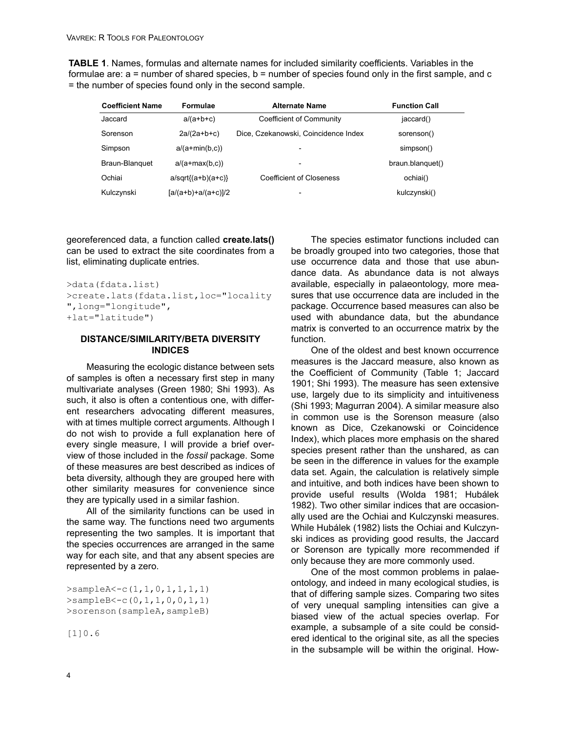**TABLE 1**. Names, formulas and alternate names for included similarity coefficients. Variables in the formulae are: a = number of shared species, b = number of species found only in the first sample, and c = the number of species found only in the second sample.

| <b>Coefficient Name</b> | Formulae              | <b>Alternate Name</b>                | <b>Function Call</b> |
|-------------------------|-----------------------|--------------------------------------|----------------------|
| Jaccard                 | $a/(a+b+c)$           | Coefficient of Community             | jaccard()            |
| Sorenson                | $2a/(2a+b+c)$         | Dice, Czekanowski, Coincidence Index | sorenson()           |
| Simpson                 | $a/(a+min(b,c))$      |                                      | simpson()            |
| Braun-Blanguet          | $a/(a+max(b,c))$      |                                      | braun.blanguet()     |
| Ochiai                  | $a/sqrt{(a+b)(a+c)}$  | Coefficient of Closeness             | ochiai()             |
| Kulczynski              | $[a/(a+b)+a/(a+c)]/2$ | $\overline{\phantom{0}}$             | kulczynski()         |

georeferenced data, a function called **create.lats()** can be used to extract the site coordinates from a list, eliminating duplicate entries.

```
>data(fdata.list) 
>create.lats(fdata.list,loc="locality
",long="longitude", 
+lat="latitude")
```
# **DISTANCE/SIMILARITY/BETA DIVERSITY INDICES**

Measuring the ecologic distance between sets of samples is often a necessary first step in many multivariate analyses (Green 1980; Shi 1993). As such, it also is often a contentious one, with different researchers advocating different measures, with at times multiple correct arguments. Although I do not wish to provide a full explanation here of every single measure, I will provide a brief overview of those included in the *fossil* package. Some of these measures are best described as indices of beta diversity, although they are grouped here with other similarity measures for convenience since they are typically used in a similar fashion.

All of the similarity functions can be used in the same way. The functions need two arguments representing the two samples. It is important that the species occurrences are arranged in the same way for each site, and that any absent species are represented by a zero.

```
>sampleA<-c(1,1,0,1,1,1,1) 
>sampleB<-c(0,1,1,0,0,1,1) 
>sorenson(sampleA,sampleB)
```
[1]0.6

The species estimator functions included can be broadly grouped into two categories, those that use occurrence data and those that use abundance data. As abundance data is not always available, especially in palaeontology, more measures that use occurrence data are included in the package. Occurrence based measures can also be used with abundance data, but the abundance matrix is converted to an occurrence matrix by the function.

One of the oldest and best known occurrence measures is the Jaccard measure, also known as the Coefficient of Community (Table 1; Jaccard 1901; Shi 1993). The measure has seen extensive use, largely due to its simplicity and intuitiveness (Shi 1993; Magurran 2004). A similar measure also in common use is the Sorenson measure (also known as Dice, Czekanowski or Coincidence Index), which places more emphasis on the shared species present rather than the unshared, as can be seen in the difference in values for the example data set. Again, the calculation is relatively simple and intuitive, and both indices have been shown to provide useful results (Wolda 1981; Hubálek 1982). Two other similar indices that are occasionally used are the Ochiai and Kulczynski measures. While Hubálek (1982) lists the Ochiai and Kulczynski indices as providing good results, the Jaccard or Sorenson are typically more recommended if only because they are more commonly used.

One of the most common problems in palaeontology, and indeed in many ecological studies, is that of differing sample sizes. Comparing two sites of very unequal sampling intensities can give a biased view of the actual species overlap. For example, a subsample of a site could be considered identical to the original site, as all the species in the subsample will be within the original. How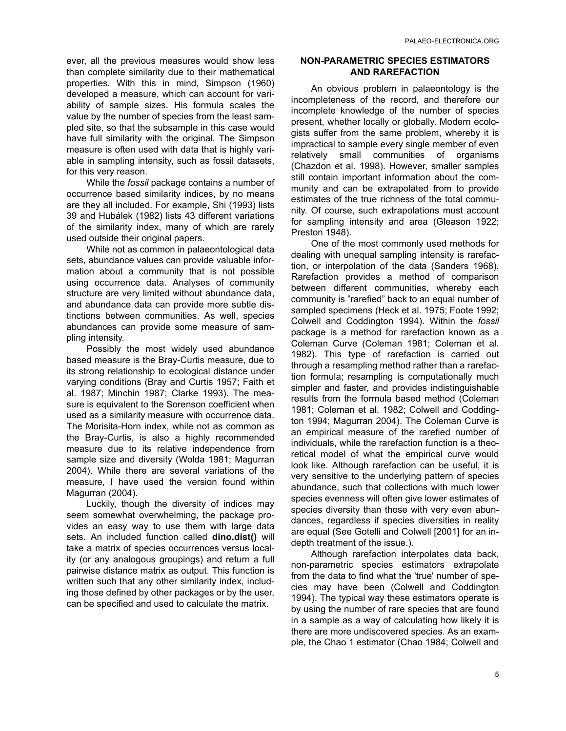ever, all the previous measures would show less than complete similarity due to their mathematical properties. With this in mind, Simpson (1960) developed a measure, which can account for variability of sample sizes. His formula scales the value by the number of species from the least sampled site, so that the subsample in this case would have full similarity with the original. The Simpson measure is often used with data that is highly variable in sampling intensity, such as fossil datasets, for this very reason.

While the *fossil* package contains a number of occurrence based similarity indices, by no means are they all included. For example, Shi (1993) lists 39 and Hubálek (1982) lists 43 different variations of the similarity index, many of which are rarely used outside their original papers.

While not as common in palaeontological data sets, abundance values can provide valuable information about a community that is not possible using occurrence data. Analyses of community structure are very limited without abundance data, and abundance data can provide more subtle distinctions between communities. As well, species abundances can provide some measure of sampling intensity.

Possibly the most widely used abundance based measure is the Bray-Curtis measure, due to its strong relationship to ecological distance under varying conditions (Bray and Curtis 1957; Faith et al. 1987; Minchin 1987; Clarke 1993). The measure is equivalent to the Sorenson coefficient when used as a similarity measure with occurrence data. The Morisita-Horn index, while not as common as the Bray-Curtis, is also a highly recommended measure due to its relative independence from sample size and diversity (Wolda 1981; Magurran 2004). While there are several variations of the measure, I have used the version found within Magurran (2004).

Luckily, though the diversity of indices may seem somewhat overwhelming, the package provides an easy way to use them with large data sets. An included function called **dino.dist()** will take a matrix of species occurrences versus locality (or any analogous groupings) and return a full pairwise distance matrix as output. This function is written such that any other similarity index, including those defined by other packages or by the user, can be specified and used to calculate the matrix.

# **NON-PARAMETRIC SPECIES ESTIMATORS AND RAREFACTION**

An obvious problem in palaeontology is the incompleteness of the record, and therefore our incomplete knowledge of the number of species present, whether locally or globally. Modern ecologists suffer from the same problem, whereby it is impractical to sample every single member of even relatively small communities of organisms (Chazdon et al. 1998). However, smaller samples still contain important information about the community and can be extrapolated from to provide estimates of the true richness of the total community. Of course, such extrapolations must account for sampling intensity and area (Gleason 1922; Preston 1948).

One of the most commonly used methods for dealing with unequal sampling intensity is rarefaction, or interpolation of the data (Sanders 1968). Rarefaction provides a method of comparison between different communities, whereby each community is "rarefied" back to an equal number of sampled specimens (Heck et al. 1975; Foote 1992; Colwell and Coddington 1994). Within the *fossil* package is a method for rarefaction known as a Coleman Curve (Coleman 1981; Coleman et al. 1982). This type of rarefaction is carried out through a resampling method rather than a rarefaction formula; resampling is computationally much simpler and faster, and provides indistinguishable results from the formula based method (Coleman 1981; Coleman et al. 1982; Colwell and Coddington 1994; Magurran 2004). The Coleman Curve is an empirical measure of the rarefied number of individuals, while the rarefaction function is a theoretical model of what the empirical curve would look like. Although rarefaction can be useful, it is very sensitive to the underlying pattern of species abundance, such that collections with much lower species evenness will often give lower estimates of species diversity than those with very even abundances, regardless if species diversities in reality are equal (See Gotelli and Colwell [2001] for an indepth treatment of the issue.).

Although rarefaction interpolates data back, non-parametric species estimators extrapolate from the data to find what the 'true' number of species may have been (Colwell and Coddington 1994). The typical way these estimators operate is by using the number of rare species that are found in a sample as a way of calculating how likely it is there are more undiscovered species. As an example, the Chao 1 estimator (Chao 1984; Colwell and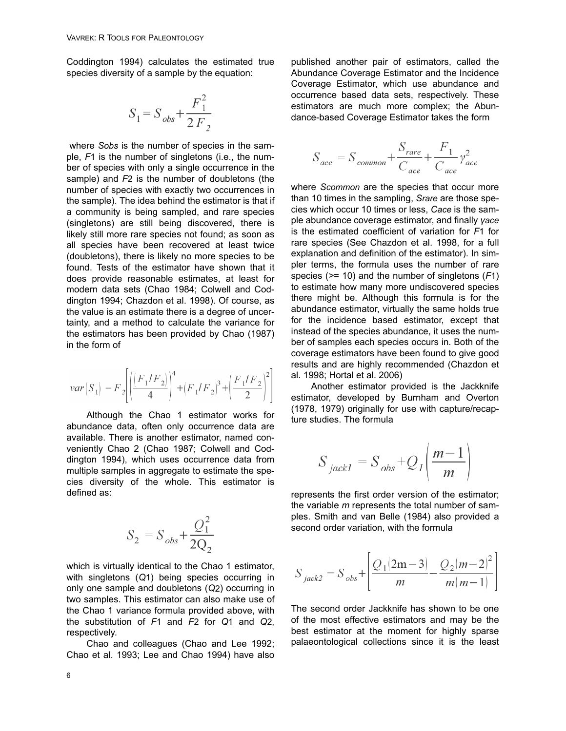Coddington 1994) calculates the estimated true species diversity of a sample by the equation:

$$
S_1 = S_{obs} + \frac{F_1^2}{2F_2}
$$

where *Sobs* is the number of species in the sample, *F*1 is the number of singletons (i.e., the number of species with only a single occurrence in the sample) and *F*2 is the number of doubletons (the number of species with exactly two occurrences in the sample). The idea behind the estimator is that if a community is being sampled, and rare species (singletons) are still being discovered, there is likely still more rare species not found; as soon as all species have been recovered at least twice (doubletons), there is likely no more species to be found. Tests of the estimator have shown that it does provide reasonable estimates, at least for modern data sets (Chao 1984; Colwell and Coddington 1994; Chazdon et al. 1998). Of course, as the value is an estimate there is a degree of uncertainty, and a method to calculate the variance for the estimators has been provided by Chao (1987) in the form of

$$
var(S_1) = F_2 \left[ \left( \frac{F_1/F_2}{4} \right)^4 + \left( F_1/F_2 \right)^3 + \left( \frac{F_1/F_2}{2} \right)^2 \right]
$$

Although the Chao 1 estimator works for abundance data, often only occurrence data are available. There is another estimator, named conveniently Chao 2 (Chao 1987; Colwell and Coddington 1994), which uses occurrence data from multiple samples in aggregate to estimate the species diversity of the whole. This estimator is defined as:

$$
S_2 = S_{obs} + \frac{Q_1^2}{2Q_2}
$$

which is virtually identical to the Chao 1 estimator, with singletons (*Q*1) being species occurring in only one sample and doubletons (*Q*2) occurring in two samples. This estimator can also make use of the Chao 1 variance formula provided above, with the substitution of *F*1 and *F*2 for *Q*1 and *Q*2, respectively.

Chao and colleagues (Chao and Lee 1992; Chao et al. 1993; Lee and Chao 1994) have also

published another pair of estimators, called the Abundance Coverage Estimator and the Incidence Coverage Estimator, which use abundance and occurrence based data sets, respectively. These estimators are much more complex; the Abundance-based Coverage Estimator takes the form

$$
S_{ace} = S_{common} + \frac{S_{rare}}{C_{ace}} + \frac{F_1}{C_{ace}} \gamma_{ace}^2
$$

where *Scommon* are the species that occur more than 10 times in the sampling, *Srare* are those species which occur 10 times or less, *Cace* is the sample abundance coverage estimator, and finally *γace* is the estimated coefficient of variation for *F*1 for rare species (See Chazdon et al. 1998, for a full explanation and definition of the estimator). In simpler terms, the formula uses the number of rare species (*>*= 10) and the number of singletons (*F*1) to estimate how many more undiscovered species there might be. Although this formula is for the abundance estimator, virtually the same holds true for the incidence based estimator, except that instead of the species abundance, it uses the number of samples each species occurs in. Both of the coverage estimators have been found to give good results and are highly recommended (Chazdon et al. 1998; Hortal et al. 2006)

Another estimator provided is the Jackknife estimator, developed by Burnham and Overton (1978, 1979) originally for use with capture/recapture studies. The formula

$$
S_{\; jackl} = S_{\; obs} + Q_l \left( \frac{m-1}{m} \right)
$$

represents the first order version of the estimator; the variable *m* represents the total number of samples. Smith and van Belle (1984) also provided a second order variation, with the formula

$$
S_{jack2} = S_{obs} + \left[ \frac{Q_1(2m-3)}{m} - \frac{Q_2(m-2)^2}{m(m-1)} \right]
$$

The second order Jackknife has shown to be one of the most effective estimators and may be the best estimator at the moment for highly sparse palaeontological collections since it is the least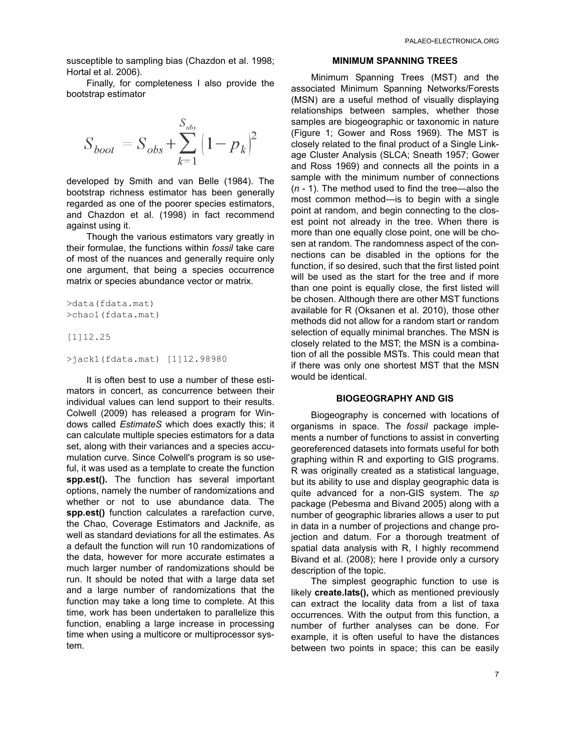susceptible to sampling bias (Chazdon et al. 1998; Hortal et al. 2006).

Finally, for completeness I also provide the bootstrap estimator

$$
S_{boot} = S_{obs} + \sum_{k=1}^{S_{obs}} (1 - p_k)^2
$$

developed by Smith and van Belle (1984). The bootstrap richness estimator has been generally regarded as one of the poorer species estimators, and Chazdon et al. (1998) in fact recommend against using it.

Though the various estimators vary greatly in their formulae, the functions within *fossil* take care of most of the nuances and generally require only one argument, that being a species occurrence matrix or species abundance vector or matrix.

```
>data(fdata.mat) 
>chao1(fdata.mat)
```
#### [1]12.25

```
>jack1(fdata.mat) [1]12.98980
```
It is often best to use a number of these estimators in concert, as concurrence between their individual values can lend support to their results. Colwell (2009) has released a program for Windows called *EstimateS* which does exactly this; it can calculate multiple species estimators for a data set, along with their variances and a species accumulation curve. Since Colwell's program is so useful, it was used as a template to create the function **spp.est().** The function has several important options, namely the number of randomizations and whether or not to use abundance data. The **spp.est()** function calculates a rarefaction curve, the Chao, Coverage Estimators and Jacknife, as well as standard deviations for all the estimates. As a default the function will run 10 randomizations of the data, however for more accurate estimates a much larger number of randomizations should be run. It should be noted that with a large data set and a large number of randomizations that the function may take a long time to complete. At this time, work has been undertaken to parallelize this function, enabling a large increase in processing time when using a multicore or multiprocessor system.

#### **MINIMUM SPANNING TREES**

Minimum Spanning Trees (MST) and the associated Minimum Spanning Networks/Forests (MSN) are a useful method of visually displaying relationships between samples, whether those samples are biogeographic or taxonomic in nature (Figure 1; Gower and Ross 1969). The MST is closely related to the final product of a Single Linkage Cluster Analysis (SLCA; Sneath 1957; Gower and Ross 1969) and connects all the points in a sample with the minimum number of connections (*n* - 1). The method used to find the tree—also the most common method—is to begin with a single point at random, and begin connecting to the closest point not already in the tree. When there is more than one equally close point, one will be chosen at random. The randomness aspect of the connections can be disabled in the options for the function, if so desired, such that the first listed point will be used as the start for the tree and if more than one point is equally close, the first listed will be chosen. Although there are other MST functions available for R (Oksanen et al. 2010), those other methods did not allow for a random start or random selection of equally minimal branches. The MSN is closely related to the MST; the MSN is a combination of all the possible MSTs. This could mean that if there was only one shortest MST that the MSN would be identical.

### **BIOGEOGRAPHY AND GIS**

Biogeography is concerned with locations of organisms in space. The *fossil* package implements a number of functions to assist in converting georeferenced datasets into formats useful for both graphing within R and exporting to GIS programs. R was originally created as a statistical language, but its ability to use and display geographic data is quite advanced for a non-GIS system. The *sp* package (Pebesma and Bivand 2005) along with a number of geographic libraries allows a user to put in data in a number of projections and change projection and datum. For a thorough treatment of spatial data analysis with R, I highly recommend Bivand et al. (2008); here I provide only a cursory description of the topic.

The simplest geographic function to use is likely **create.lats(),** which as mentioned previously can extract the locality data from a list of taxa occurrences. With the output from this function, a number of further analyses can be done. For example, it is often useful to have the distances between two points in space; this can be easily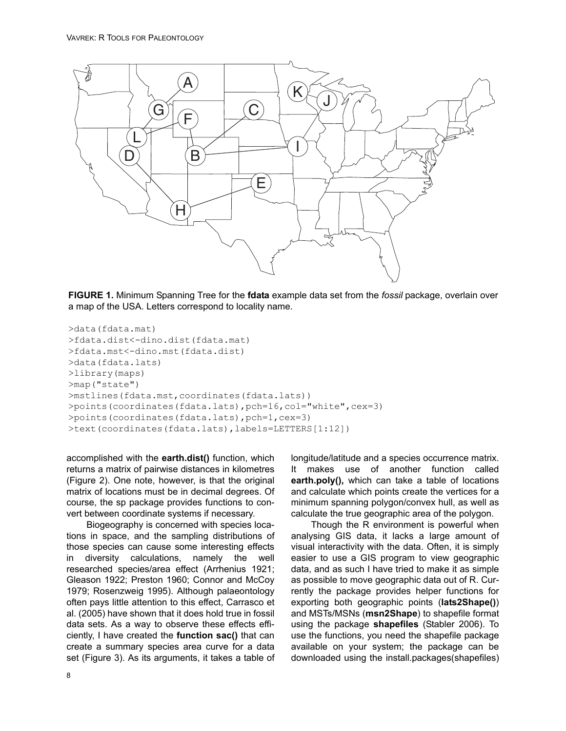

**FIGURE 1.** Minimum Spanning Tree for the **fdata** example data set from the *fossil* package, overlain over a map of the USA. Letters correspond to locality name.

```
>data(fdata.mat) 
>fdata.dist<-dino.dist(fdata.mat) 
>fdata.mst<-dino.mst(fdata.dist) 
>data(fdata.lats) 
>library(maps) 
>map("state") 
>mstlines(fdata.mst,coordinates(fdata.lats))
>points(coordinates(fdata.lats),pch=16,col="white",cex=3) 
>points(coordinates(fdata.lats),pch=1,cex=3) 
>text(coordinates(fdata.lats),labels=LETTERS[1:12])
```
accomplished with the **earth.dist()** function, which returns a matrix of pairwise distances in kilometres (Figure 2). One note, however, is that the original matrix of locations must be in decimal degrees. Of course, the sp package provides functions to convert between coordinate systems if necessary.

Biogeography is concerned with species locations in space, and the sampling distributions of those species can cause some interesting effects in diversity calculations, namely the well researched species/area effect (Arrhenius 1921; Gleason 1922; Preston 1960; Connor and McCoy 1979; Rosenzweig 1995). Although palaeontology often pays little attention to this effect, Carrasco et al. (2005) have shown that it does hold true in fossil data sets. As a way to observe these effects efficiently, I have created the **function sac()** that can create a summary species area curve for a data set (Figure 3). As its arguments, it takes a table of longitude/latitude and a species occurrence matrix. It makes use of another function called **earth.poly(),** which can take a table of locations and calculate which points create the vertices for a minimum spanning polygon/convex hull, as well as calculate the true geographic area of the polygon.

Though the R environment is powerful when analysing GIS data, it lacks a large amount of visual interactivity with the data. Often, it is simply easier to use a GIS program to view geographic data, and as such I have tried to make it as simple as possible to move geographic data out of R. Currently the package provides helper functions for exporting both geographic points (**lats2Shape()**) and MSTs/MSNs (**msn2Shape**) to shapefile format using the package **shapefiles** (Stabler 2006). To use the functions, you need the shapefile package available on your system; the package can be downloaded using the install.packages(shapefiles)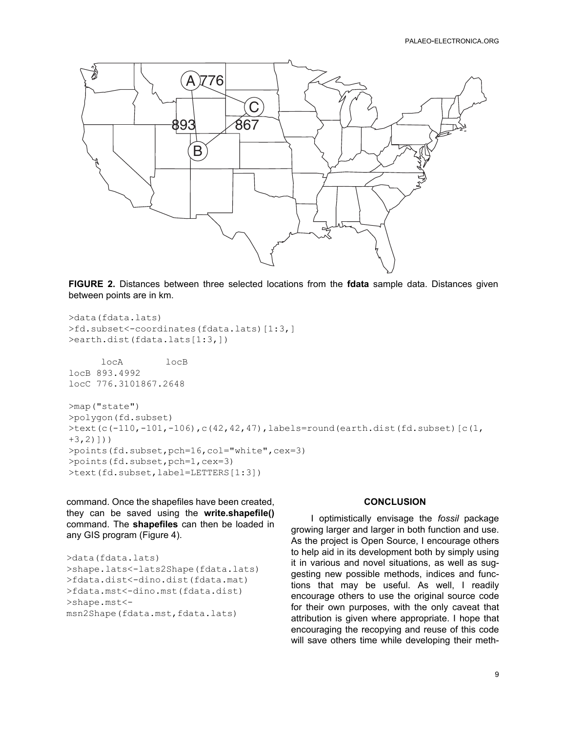

**FIGURE 2.** Distances between three selected locations from the **fdata** sample data. Distances given between points are in km.

```
>data(fdata.lats) 
>fd.subset<-coordinates(fdata.lats)[1:3,] 
>earth.dist(fdata.lats[1:3,]) 
      locA locB
locB 893.4992
locC 776.3101867.2648
>map("state") 
>polygon(fd.subset) 
\text{Text}(c(-110,-101,-106), c(42,42,47), labels=round(earth.dist(fd.subset)[c(1,
+3,2)]))
>points(fd.subset,pch=16,col="white",cex=3) 
>points(fd.subset,pch=1,cex=3) 
>text(fd.subset,label=LETTERS[1:3])
```
command. Once the shapefiles have been created, they can be saved using the **write.shapefile()** command. The **shapefiles** can then be loaded in any GIS program (Figure 4).

```
>data(fdata.lats) 
>shape.lats<-lats2Shape(fdata.lats) 
>fdata.dist<-dino.dist(fdata.mat) 
>fdata.mst<-dino.mst(fdata.dist) 
>shape.mst<-
msn2Shape(fdata.mst,fdata.lats)
```
# **CONCLUSION**

I optimistically envisage the *fossil* package growing larger and larger in both function and use. As the project is Open Source, I encourage others to help aid in its development both by simply using it in various and novel situations, as well as suggesting new possible methods, indices and functions that may be useful. As well, I readily encourage others to use the original source code for their own purposes, with the only caveat that attribution is given where appropriate. I hope that encouraging the recopying and reuse of this code will save others time while developing their meth-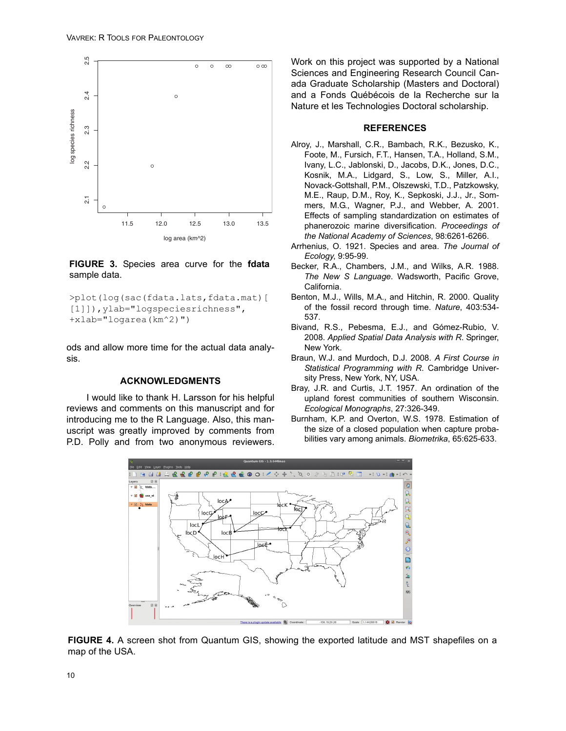

# **FIGURE 3.** Species area curve for the **fdata** sample data.

```
>plot(log(sac(fdata.lats,fdata.mat)[
[1]]), ylab="logspeciesrichness",
+xlab="logarea(km^2)")
```
ods and allow more time for the actual data analysis.

# **ACKNOWLEDGMENTS**

I would like to thank H. Larsson for his helpful reviews and comments on this manuscript and for introducing me to the R Language. Also, this manuscript was greatly improved by comments from P.D. Polly and from two anonymous reviewers.

Work on this project was supported by a National Sciences and Engineering Research Council Canada Graduate Scholarship (Masters and Doctoral) and a Fonds Québécois de la Recherche sur la Nature et les Technologies Doctoral scholarship.

## **REFERENCES**

- Alroy, J., Marshall, C.R., Bambach, R.K., Bezusko, K., Foote, M., Fursich, F.T., Hansen, T.A., Holland, S.M., Ivany, L.C., Jablonski, D., Jacobs, D.K., Jones, D.C., Kosnik, M.A., Lidgard, S., Low, S., Miller, A.I., Novack-Gottshall, P.M., Olszewski, T.D., Patzkowsky, M.E., Raup, D.M., Roy, K., Sepkoski, J.J., Jr., Sommers, M.G., Wagner, P.J., and Webber, A. 2001. Effects of sampling standardization on estimates of phanerozoic marine diversification. *Proceedings of the National Academy of Sciences*, 98:6261-6266.
- Arrhenius, O. 1921. Species and area. *The Journal of Ecology*, 9:95-99.
- Becker, R.A., Chambers, J.M., and Wilks, A.R. 1988. *The New S Language*. Wadsworth, Pacific Grove, California.
- Benton, M.J., Wills, M.A., and Hitchin, R. 2000. Quality of the fossil record through time. *Nature*, 403:534- 537.
- Bivand, R.S., Pebesma, E.J., and Gómez-Rubio, V. 2008. *Applied Spatial Data Analysis with R*. Springer, New York.
- Braun, W.J. and Murdoch, D.J. 2008. *A First Course in Statistical Programming with R*. Cambridge University Press, New York, NY, USA.
- Bray, J.R. and Curtis, J.T. 1957. An ordination of the upland forest communities of southern Wisconsin. *Ecological Monographs*, 27:326-349.
- Burnham, K.P. and Overton, W.S. 1978. Estimation of the size of a closed population when capture probabilities vary among animals. *Biometrika*, 65:625-633.



**FIGURE 4.** A screen shot from Quantum GIS, showing the exported latitude and MST shapefiles on a map of the USA.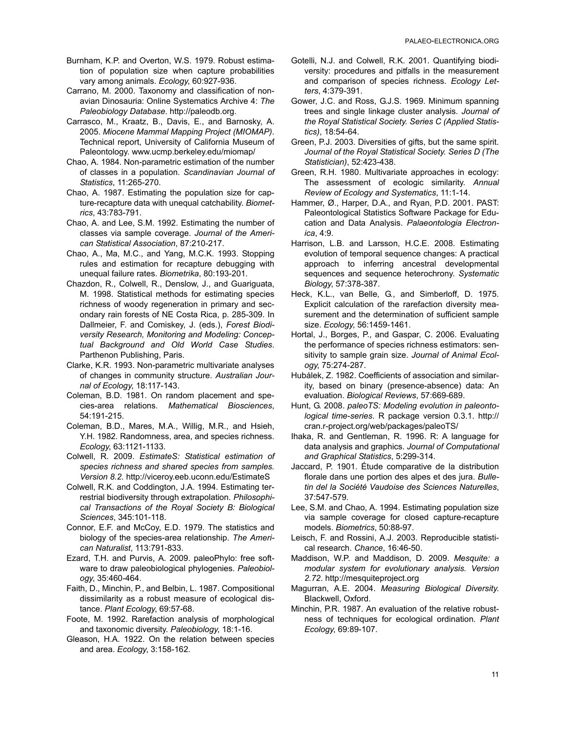- Burnham, K.P. and Overton, W.S. 1979. Robust estimation of population size when capture probabilities vary among animals. *Ecology*, 60:927-936.
- Carrano, M. 2000. Taxonomy and classification of nonavian Dinosauria: Online Systematics Archive 4: *The Paleobiology Database*. http://paleodb.org.
- Carrasco, M., Kraatz, B., Davis, E., and Barnosky, A. 2005. *Miocene Mammal Mapping Project (MIOMAP)*. Technical report, University of California Museum of Paleontology. www.ucmp.berkeley.edu/miomap/
- Chao, A. 1984. Non-parametric estimation of the number of classes in a population. *Scandinavian Journal of Statistics*, 11:265-270.
- Chao, A. 1987. Estimating the population size for capture-recapture data with unequal catchability. *Biometrics*, 43:783-791.
- Chao, A. and Lee, S.M. 1992. Estimating the number of classes via sample coverage. *Journal of the American Statistical Association*, 87:210-217.
- Chao, A., Ma, M.C., and Yang, M.C.K. 1993. Stopping rules and estimation for recapture debugging with unequal failure rates. *Biometrika*, 80:193-201.
- Chazdon, R., Colwell, R., Denslow, J., and Guariguata, M. 1998. Statistical methods for estimating species richness of woody regeneration in primary and secondary rain forests of NE Costa Rica, p. 285-309. In Dallmeier, F. and Comiskey, J. (eds.), *Forest Biodiversity Research, Monitoring and Modeling: Conceptual Background and Old World Case Studies*. Parthenon Publishing, Paris.
- Clarke, K.R. 1993. Non-parametric multivariate analyses of changes in community structure. *Australian Journal of Ecology*, 18:117-143.
- Coleman, B.D. 1981. On random placement and species-area relations. *Mathematical Biosciences*, 54:191-215.
- Coleman, B.D., Mares, M.A., Willig, M.R., and Hsieh, Y.H. 1982. Randomness, area, and species richness. *Ecology*, 63:1121-1133.
- Colwell, R. 2009. *EstimateS: Statistical estimation of species richness and shared species from samples. Version 8.2.* http://viceroy.eeb.uconn.edu/EstimateS
- Colwell, R.K. and Coddington, J.A. 1994. Estimating terrestrial biodiversity through extrapolation. *Philosophical Transactions of the Royal Society B: Biological Sciences*, 345:101-118.
- Connor, E.F. and McCoy, E.D. 1979. The statistics and biology of the species-area relationship. *The American Naturalist*, 113:791-833.
- Ezard, T.H. and Purvis, A. 2009. paleoPhylo: free software to draw paleobiological phylogenies. *Paleobiology*, 35:460-464.
- Faith, D., Minchin, P., and Belbin, L. 1987. Compositional dissimilarity as a robust measure of ecological distance. *Plant Ecology*, 69:57-68.
- Foote, M. 1992. Rarefaction analysis of morphological and taxonomic diversity. *Paleobiology*, 18:1-16.
- Gleason, H.A. 1922. On the relation between species and area. *Ecology*, 3:158-162.
- Gotelli, N.J. and Colwell, R.K. 2001. Quantifying biodiversity: procedures and pitfalls in the measurement and comparison of species richness. *Ecology Letters*, 4:379-391.
- Gower, J.C. and Ross, G.J.S. 1969. Minimum spanning trees and single linkage cluster analysis. *Journal of the Royal Statistical Society. Series C (Applied Statistics)*, 18:54-64.
- Green, P.J. 2003. Diversities of gifts, but the same spirit. *Journal of the Royal Statistical Society. Series D (The Statistician)*, 52:423-438.
- Green, R.H. 1980. Multivariate approaches in ecology: The assessment of ecologic similarity. *Annual Review of Ecology and Systematics*, 11:1-14.
- Hammer, Ø., Harper, D.A., and Ryan, P.D. 2001. PAST: Paleontological Statistics Software Package for Education and Data Analysis. *Palaeontologia Electronica*, 4:9.
- Harrison, L.B. and Larsson, H.C.E. 2008. Estimating evolution of temporal sequence changes: A practical approach to inferring ancestral developmental sequences and sequence heterochrony. *Systematic Biology*, 57:378-387.
- Heck, K.L., van Belle, G., and Simberloff, D. 1975. Explicit calculation of the rarefaction diversity measurement and the determination of sufficient sample size. *Ecology*, 56:1459-1461.
- Hortal, J., Borges, P., and Gaspar, C. 2006. Evaluating the performance of species richness estimators: sensitivity to sample grain size. *Journal of Animal Ecology*, 75:274-287.
- Hubálek, Z. 1982. Coefficients of association and similarity, based on binary (presence-absence) data: An evaluation. *Biological Reviews*, 57:669-689.
- Hunt, G. 2008. *paleoTS: Modeling evolution in paleontological time-series*. R package version 0.3.1. http:// cran.r-project.org/web/packages/paleoTS/
- Ihaka, R. and Gentleman, R. 1996. R: A language for data analysis and graphics. *Journal of Computational and Graphical Statistics*, 5:299-314.
- Jaccard, P. 1901. Étude comparative de la distribution florale dans une portion des alpes et des jura. *Bulletin del la Société Vaudoise des Sciences Naturelles*, 37:547-579.
- Lee, S.M. and Chao, A. 1994. Estimating population size via sample coverage for closed capture-recapture models. *Biometrics*, 50:88-97.
- Leisch, F. and Rossini, A.J. 2003. Reproducible statistical research. *Chance*, 16:46-50.
- Maddison, W.P. and Maddison, D. 2009. *Mesquite: a modular system for evolutionary analysis. Version 2.72*. http://mesquiteproject.org
- Magurran, A.E. 2004. *Measuring Biological Diversity*. Blackwell, Oxford.
- Minchin, P.R. 1987. An evaluation of the relative robustness of techniques for ecological ordination. *Plant Ecology*, 69:89-107.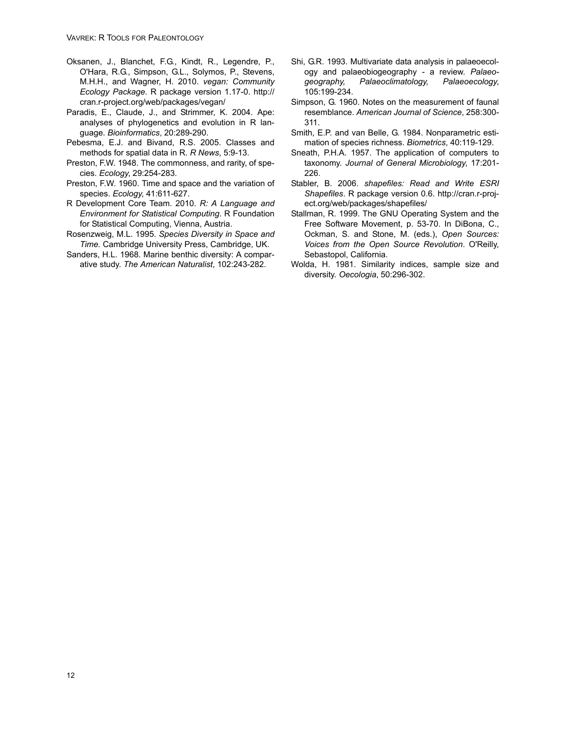- Oksanen, J., Blanchet, F.G., Kindt, R., Legendre, P., O'Hara, R.G., Simpson, G.L., Solymos, P., Stevens, M.H.H., and Wagner, H. 2010. *vegan: Community Ecology Package*. R package version 1.17-0. http:// cran.r-project.org/web/packages/vegan/
- Paradis, E., Claude, J., and Strimmer, K. 2004. Ape: analyses of phylogenetics and evolution in R language. *Bioinformatics*, 20:289-290.
- Pebesma, E.J. and Bivand, R.S. 2005. Classes and methods for spatial data in R. *R News*, 5:9-13.
- Preston, F.W. 1948. The commonness, and rarity, of species. *Ecology*, 29:254-283.
- Preston, F.W. 1960. Time and space and the variation of species. *Ecology*, 41:611-627.
- R Development Core Team. 2010. *R: A Language and Environment for Statistical Computing*. R Foundation for Statistical Computing, Vienna, Austria.
- Rosenzweig, M.L. 1995. *Species Diversity in Space and Time.* Cambridge University Press, Cambridge, UK.
- Sanders, H.L. 1968. Marine benthic diversity: A comparative study. *The American Naturalist*, 102:243-282.
- Shi, G.R. 1993. Multivariate data analysis in palaeoecology and palaeobiogeography - a review. *Palaeogeography, Palaeoclimatology, Palaeoecology*, 105:199-234.
- Simpson, G. 1960. Notes on the measurement of faunal resemblance. *American Journal of Science*, 258:300- 311.
- Smith, E.P. and van Belle, G. 1984. Nonparametric estimation of species richness. *Biometrics*, 40:119-129.
- Sneath, P.H.A. 1957. The application of computers to taxonomy. *Journal of General Microbiology*, 17:201- 226.
- Stabler, B. 2006. *shapefiles: Read and Write ESRI Shapefiles*. R package version 0.6. http://cran.r-project.org/web/packages/shapefiles/
- Stallman, R. 1999. The GNU Operating System and the Free Software Movement, p. 53-70. In DiBona, C., Ockman, S. and Stone, M. (eds.), *Open Sources: Voices from the Open Source Revolution*. O'Reilly, Sebastopol, California.
- Wolda, H. 1981. Similarity indices, sample size and diversity. *Oecologia*, 50:296-302.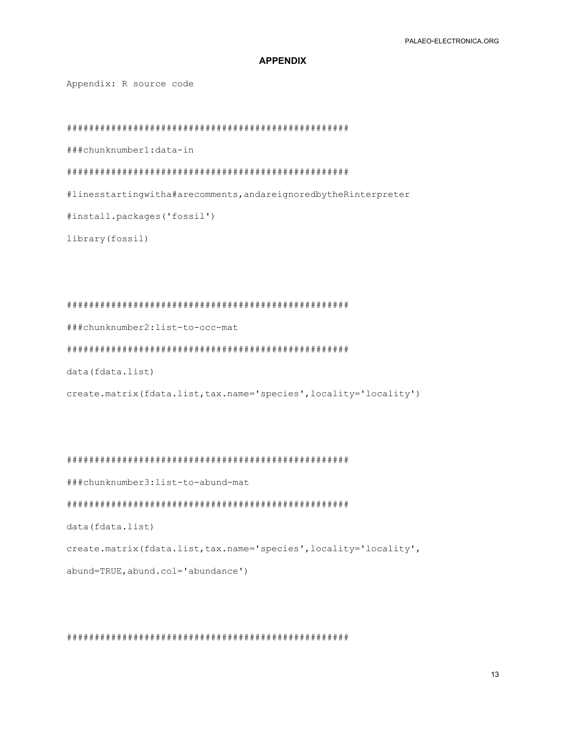# **APPENDIX**

Appendix: R source code

###chunknumber1:data-in

#linesstartingwitha#arecomments, andareignoredbytheRinterpreter

#install.packages('fossil')

library (fossil)

###chunknumber2:list-to-occ-mat

data (fdata.list)

create.matrix(fdata.list,tax.name='species',locality='locality')

###chunknumber3:list-to-abund-mat

data (fdata.list)

create.matrix(fdata.list,tax.name='species',locality='locality',

abund=TRUE, abund.col='abundance')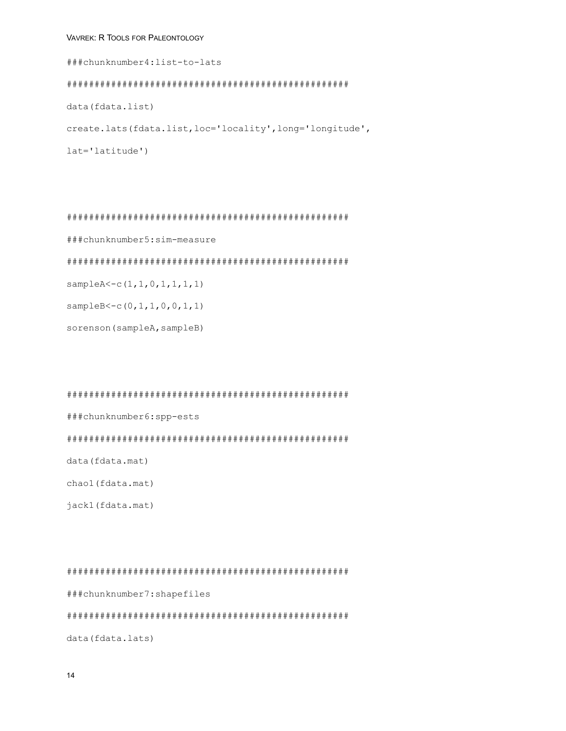# VAVREK: R TOOLS FOR PALEONTOLOGY

###chunknumber4:list-to-lats data (fdata.list) create.lats(fdata.list,loc='locality',long='longitude',  $lat='latitude')$ 

###chunknumber5:sim-measure

 $sampleA < -c(1, 1, 0, 1, 1, 1, 1)$ 

 $sampleB < -c(0, 1, 1, 0, 0, 1, 1)$ 

sorenson (sampleA, sampleB)

#### 

###chunknumber6:spp-ests

data (fdata.mat)

chaol(fdata.mat)

jack1(fdata.mat)

###chunknumber7:shapefiles data (fdata.lats)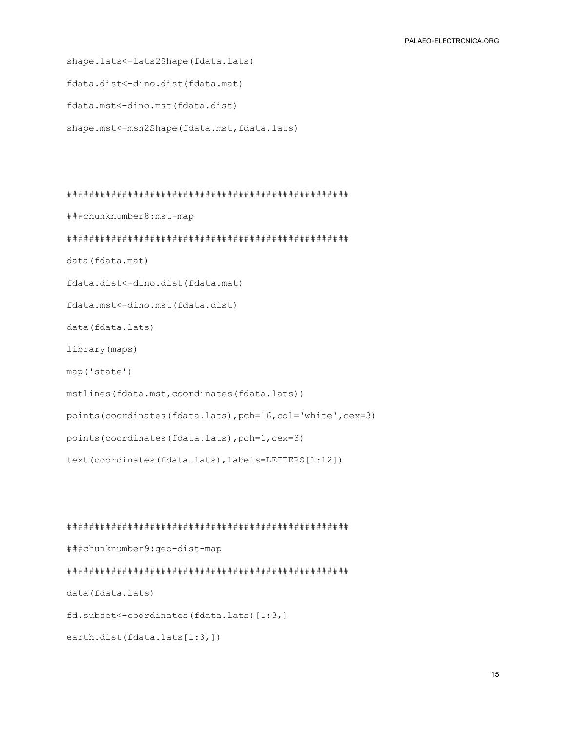shape.lats<-lats2Shape(fdata.lats) fdata.dist<-dino.dist(fdata.mat) fdata.mst<-dino.mst(fdata.dist) shape.mst<-msn2Shape(fdata.mst,fdata.lats)

###chunknumber8:mst-map data (fdata.mat) fdata.dist<-dino.dist(fdata.mat) fdata.mst<-dino.mst(fdata.dist) data (fdata.lats) library (maps) map('state') mstlines (fdata.mst, coordinates (fdata.lats)) points (coordinates (fdata.lats), pch=16, col='white', cex=3) points (coordinates (fdata.lats), pch=1, cex=3) text(coordinates(fdata.lats), labels=LETTERS[1:12])

###chunknumber9:geo-dist-map data (fdata.lats) fd.subset<-coordinates(fdata.lats)[1:3,] earth.dist(fdata.lats[1:3,])